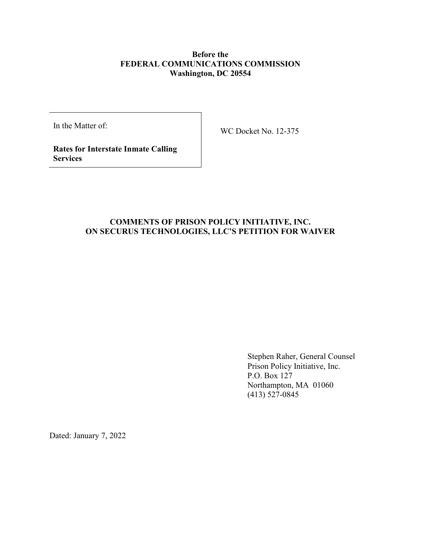## **Before the FEDERAL COMMUNICATIONS COMMISSION Washington, DC 20554**

In the Matter of:

WC Docket No. 12-375

**Rates for Interstate Inmate Calling Services**

# **COMMENTS OF PRISON POLICY INITIATIVE, INC. ON SECURUS TECHNOLOGIES, LLC'S PETITION FOR WAIVER**

Stephen Raher, General Counsel Prison Policy Initiative, Inc. P.O. Box 127 Northampton, MA 01060 (413) 527-0845

Dated: January 7, 2022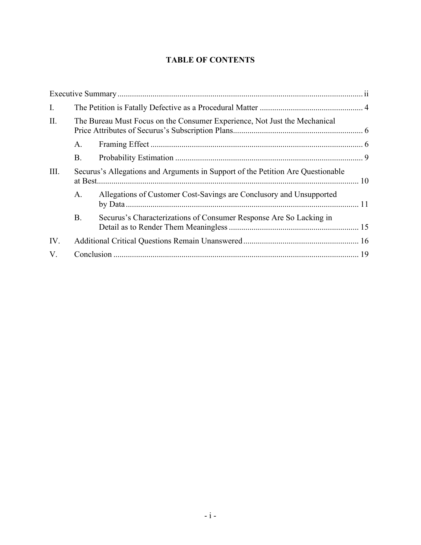# **TABLE OF CONTENTS**

| I.   |                                                                                 |                                                                     |  |
|------|---------------------------------------------------------------------------------|---------------------------------------------------------------------|--|
| II.  | The Bureau Must Focus on the Consumer Experience, Not Just the Mechanical       |                                                                     |  |
|      | А.                                                                              |                                                                     |  |
|      | <b>B.</b>                                                                       |                                                                     |  |
| III. | Securus's Allegations and Arguments in Support of the Petition Are Questionable |                                                                     |  |
|      | А.                                                                              | Allegations of Customer Cost-Savings are Conclusory and Unsupported |  |
|      | Β.                                                                              | Securus's Characterizations of Consumer Response Are So Lacking in  |  |
| IV.  |                                                                                 |                                                                     |  |
| V.   |                                                                                 |                                                                     |  |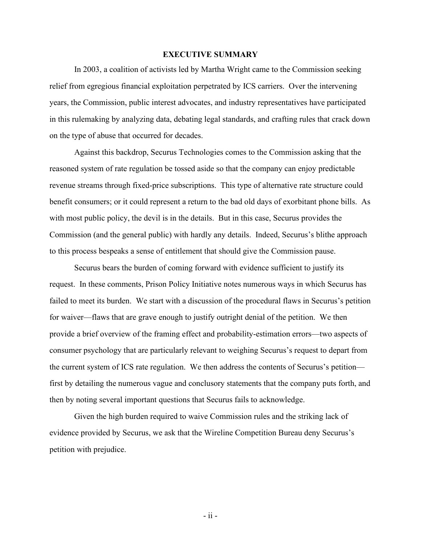#### **EXECUTIVE SUMMARY**

<span id="page-2-0"></span>In 2003, a coalition of activists led by Martha Wright came to the Commission seeking relief from egregious financial exploitation perpetrated by ICS carriers. Over the intervening years, the Commission, public interest advocates, and industry representatives have participated in this rulemaking by analyzing data, debating legal standards, and crafting rules that crack down on the type of abuse that occurred for decades.

Against this backdrop, Securus Technologies comes to the Commission asking that the reasoned system of rate regulation be tossed aside so that the company can enjoy predictable revenue streams through fixed-price subscriptions. This type of alternative rate structure could benefit consumers; or it could represent a return to the bad old days of exorbitant phone bills. As with most public policy, the devil is in the details. But in this case, Securus provides the Commission (and the general public) with hardly any details. Indeed, Securus's blithe approach to this process bespeaks a sense of entitlement that should give the Commission pause.

Securus bears the burden of coming forward with evidence sufficient to justify its request. In these comments, Prison Policy Initiative notes numerous ways in which Securus has failed to meet its burden. We start with a discussion of the procedural flaws in Securus's petition for waiver—flaws that are grave enough to justify outright denial of the petition. We then provide a brief overview of the framing effect and probability-estimation errors—two aspects of consumer psychology that are particularly relevant to weighing Securus's request to depart from the current system of ICS rate regulation. We then address the contents of Securus's petition first by detailing the numerous vague and conclusory statements that the company puts forth, and then by noting several important questions that Securus fails to acknowledge.

Given the high burden required to waive Commission rules and the striking lack of evidence provided by Securus, we ask that the Wireline Competition Bureau deny Securus's petition with prejudice.

- ii -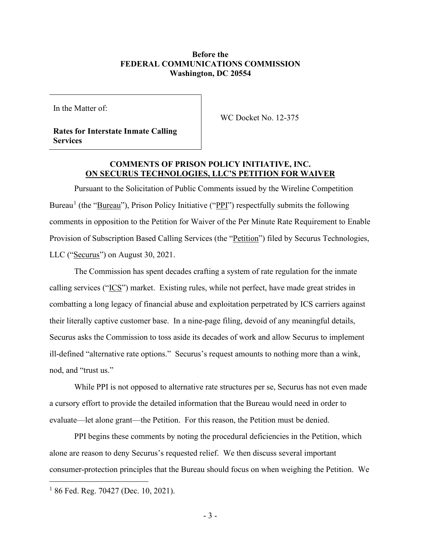### **Before the FEDERAL COMMUNICATIONS COMMISSION Washington, DC 20554**

In the Matter of:

WC Docket No. 12-375

**Rates for Interstate Inmate Calling Services**

## **COMMENTS OF PRISON POLICY INITIATIVE, INC. ON SECURUS TECHNOLOGIES, LLC'S PETITION FOR WAIVER**

Pursuant to the Solicitation of Public Comments issued by the Wireline Competition Bureau<sup>[1](#page-3-0)</sup> (the "<u>Bureau</u>"), Prison Policy Initiative ("PPI") respectfully submits the following comments in opposition to the Petition for Waiver of the Per Minute Rate Requirement to Enable Provision of Subscription Based Calling Services (the "Petition") filed by Securus Technologies, LLC ("Securus") on August 30, 2021.

The Commission has spent decades crafting a system of rate regulation for the inmate calling services ("ICS") market. Existing rules, while not perfect, have made great strides in combatting a long legacy of financial abuse and exploitation perpetrated by ICS carriers against their literally captive customer base. In a nine-page filing, devoid of any meaningful details, Securus asks the Commission to toss aside its decades of work and allow Securus to implement ill-defined "alternative rate options." Securus's request amounts to nothing more than a wink, nod, and "trust us."

While PPI is not opposed to alternative rate structures per se, Securus has not even made a cursory effort to provide the detailed information that the Bureau would need in order to evaluate—let alone grant—the Petition. For this reason, the Petition must be denied.

PPI begins these comments by noting the procedural deficiencies in the Petition, which alone are reason to deny Securus's requested relief. We then discuss several important consumer-protection principles that the Bureau should focus on when weighing the Petition. We

<span id="page-3-0"></span> $186$  Fed. Reg. 70427 (Dec. 10, 2021).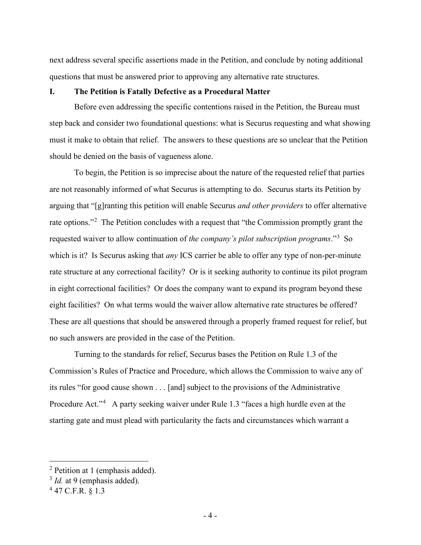next address several specific assertions made in the Petition, and conclude by noting additional questions that must be answered prior to approving any alternative rate structures.

#### <span id="page-4-0"></span>**I. The Petition is Fatally Defective as a Procedural Matter**

Before even addressing the specific contentions raised in the Petition, the Bureau must step back and consider two foundational questions: what is Securus requesting and what showing must it make to obtain that relief. The answers to these questions are so unclear that the Petition should be denied on the basis of vagueness alone.

To begin, the Petition is so imprecise about the nature of the requested relief that parties are not reasonably informed of what Securus is attempting to do. Securus starts its Petition by arguing that "[g]ranting this petition will enable Securus *and other providers* to offer alternative rate options."<sup>[2](#page-4-1)</sup> The Petition concludes with a request that "the Commission promptly grant the requested waiver to allow continuation of *the company's pilot subscription programs*."[3](#page-4-2) So which is it? Is Securus asking that *any* ICS carrier be able to offer any type of non-per-minute rate structure at any correctional facility? Or is it seeking authority to continue its pilot program in eight correctional facilities? Or does the company want to expand its program beyond these eight facilities? On what terms would the waiver allow alternative rate structures be offered? These are all questions that should be answered through a properly framed request for relief, but no such answers are provided in the case of the Petition.

<span id="page-4-4"></span>Turning to the standards for relief, Securus bases the Petition on Rule 1.3 of the Commission's Rules of Practice and Procedure, which allows the Commission to waive any of its rules "for good cause shown . . . [and] subject to the provisions of the Administrative Procedure Act."<sup>[4](#page-4-3)</sup> A party seeking waiver under Rule 1.3 "faces a high hurdle even at the starting gate and must plead with particularity the facts and circumstances which warrant a

<span id="page-4-1"></span><sup>2</sup> Petition at 1 (emphasis added).

<span id="page-4-2"></span><sup>&</sup>lt;sup>3</sup> *Id.* at 9 (emphasis added).

<span id="page-4-3"></span> $447$  C.F.R.  $81.3$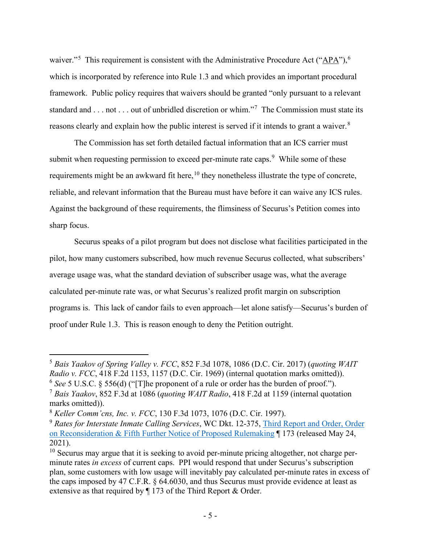waiver."<sup>[5](#page-5-0)</sup> This requirement is consistent with the Administrative Procedure Act (" $\Delta P A$ "),<sup>[6](#page-5-1)</sup> which is incorporated by reference into Rule 1.3 and which provides an important procedural framework. Public policy requires that waivers should be granted "only pursuant to a relevant standard and . . . not . . . out of unbridled discretion or whim."<sup>[7](#page-5-2)</sup> The Commission must state its reasons clearly and explain how the public interest is served if it intends to grant a waiver.<sup>[8](#page-5-3)</sup>

The Commission has set forth detailed factual information that an ICS carrier must submit when requesting permission to exceed per-minute rate caps.<sup>[9](#page-5-4)</sup> While some of these requirements might be an awkward fit here,<sup>[10](#page-5-5)</sup> they nonetheless illustrate the type of concrete, reliable, and relevant information that the Bureau must have before it can waive any ICS rules. Against the background of these requirements, the flimsiness of Securus's Petition comes into sharp focus.

Securus speaks of a pilot program but does not disclose what facilities participated in the pilot, how many customers subscribed, how much revenue Securus collected, what subscribers' average usage was, what the standard deviation of subscriber usage was, what the average calculated per-minute rate was, or what Securus's realized profit margin on subscription programs is. This lack of candor fails to even approach—let alone satisfy—Securus's burden of proof under Rule 1.3. This is reason enough to deny the Petition outright.

<span id="page-5-0"></span><sup>5</sup> *Bais Yaakov of Spring Valley v. FCC*, 852 F.3d 1078, 1086 (D.C. Cir. 2017) (*quoting WAIT Radio v. FCC*, 418 F.2d 1153, 1157 (D.C. Cir. 1969) (internal quotation marks omitted)). <sup>6</sup> *See* 5 U.S.C. § 556(d) ("[T]he proponent of a rule or order has the burden of proof.").

<span id="page-5-2"></span><span id="page-5-1"></span><sup>7</sup> *Bais Yaakov*, 852 F.3d at 1086 (*quoting WAIT Radio*, 418 F.2d at 1159 (internal quotation marks omitted)).

<span id="page-5-3"></span><sup>8</sup> *Keller Comm'cns, Inc. v. FCC*, 130 F.3d 1073, 1076 (D.C. Cir. 1997).

<span id="page-5-4"></span><sup>9</sup> *Rates for Interstate Inmate Calling Services*, WC Dkt. 12-375, [Third Report and Order, Order](https://ecfsapi.fcc.gov/file/0524685718516/FCC-21-60A1.pdf)  [on Reconsideration & Fifth Further Notice of Proposed Rulemaking](https://ecfsapi.fcc.gov/file/0524685718516/FCC-21-60A1.pdf) ¶ 173 (released May 24, 2021).

<span id="page-5-5"></span> $10$  Securus may argue that it is seeking to avoid per-minute pricing altogether, not charge perminute rates *in excess* of current caps. PPI would respond that under Securus's subscription plan, some customers with low usage will inevitably pay calculated per-minute rates in excess of the caps imposed by 47 C.F.R. § 64.6030, and thus Securus must provide evidence at least as extensive as that required by ¶ 173 of the Third Report & Order.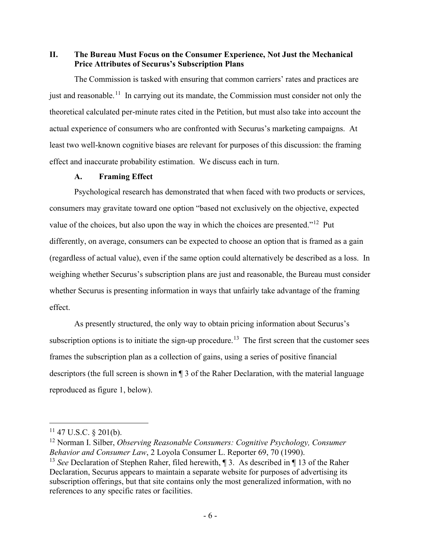<span id="page-6-0"></span>**II. The Bureau Must Focus on the Consumer Experience, Not Just the Mechanical Price Attributes of Securus's Subscription Plans**

The Commission is tasked with ensuring that common carriers' rates and practices are just and reasonable.<sup>11</sup> In carrying out its mandate, the Commission must consider not only the theoretical calculated per-minute rates cited in the Petition, but must also take into account the actual experience of consumers who are confronted with Securus's marketing campaigns. At least two well-known cognitive biases are relevant for purposes of this discussion: the framing effect and inaccurate probability estimation. We discuss each in turn.

### <span id="page-6-5"></span>**A. Framing Effect**

<span id="page-6-1"></span>Psychological research has demonstrated that when faced with two products or services, consumers may gravitate toward one option "based not exclusively on the objective, expected value of the choices, but also upon the way in which the choices are presented."<sup>[12](#page-6-3)</sup> Put differently, on average, consumers can be expected to choose an option that is framed as a gain (regardless of actual value), even if the same option could alternatively be described as a loss. In weighing whether Securus's subscription plans are just and reasonable, the Bureau must consider whether Securus is presenting information in ways that unfairly take advantage of the framing effect.

As presently structured, the only way to obtain pricing information about Securus's subscription options is to initiate the sign-up procedure.<sup>[13](#page-6-4)</sup> The first screen that the customer sees frames the subscription plan as a collection of gains, using a series of positive financial descriptors (the full screen is shown in ¶ 3 of the Raher Declaration, with the material language reproduced as figure 1, below).

<span id="page-6-2"></span> $11$  47 U.S.C. § 201(b).

<span id="page-6-3"></span><sup>12</sup> Norman I. Silber, *Observing Reasonable Consumers: Cognitive Psychology, Consumer Behavior and Consumer Law*, 2 Loyola Consumer L. Reporter 69, 70 (1990).

<span id="page-6-4"></span><sup>&</sup>lt;sup>13</sup> *See* Declaration of Stephen Raher, filed herewith, 1 3. As described in 1 1 3 of the Raher Declaration, Securus appears to maintain a separate website for purposes of advertising its subscription offerings, but that site contains only the most generalized information, with no references to any specific rates or facilities.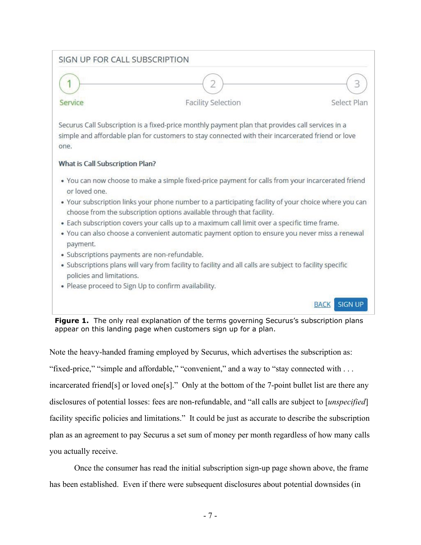

**Figure 1.** The only real explanation of the terms governing Securus's subscription plans appear on this landing page when customers sign up for a plan.

Note the heavy-handed framing employed by Securus, which advertises the subscription as: "fixed-price," "simple and affordable," "convenient," and a way to "stay connected with . . . incarcerated friend[s] or loved one[s]." Only at the bottom of the 7-point bullet list are there any disclosures of potential losses: fees are non-refundable, and "all calls are subject to [*unspecified*] facility specific policies and limitations." It could be just as accurate to describe the subscription plan as an agreement to pay Securus a set sum of money per month regardless of how many calls you actually receive.

Once the consumer has read the initial subscription sign-up page shown above, the frame has been established. Even if there were subsequent disclosures about potential downsides (in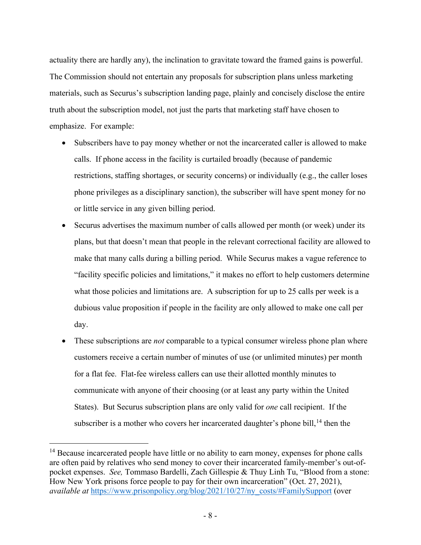actuality there are hardly any), the inclination to gravitate toward the framed gains is powerful. The Commission should not entertain any proposals for subscription plans unless marketing materials, such as Securus's subscription landing page, plainly and concisely disclose the entire truth about the subscription model, not just the parts that marketing staff have chosen to emphasize. For example:

- Subscribers have to pay money whether or not the incarcerated caller is allowed to make calls. If phone access in the facility is curtailed broadly (because of pandemic restrictions, staffing shortages, or security concerns) or individually (e.g., the caller loses phone privileges as a disciplinary sanction), the subscriber will have spent money for no or little service in any given billing period.
- Securus advertises the maximum number of calls allowed per month (or week) under its plans, but that doesn't mean that people in the relevant correctional facility are allowed to make that many calls during a billing period. While Securus makes a vague reference to "facility specific policies and limitations," it makes no effort to help customers determine what those policies and limitations are. A subscription for up to 25 calls per week is a dubious value proposition if people in the facility are only allowed to make one call per day.
- These subscriptions are *not* comparable to a typical consumer wireless phone plan where customers receive a certain number of minutes of use (or unlimited minutes) per month for a flat fee. Flat-fee wireless callers can use their allotted monthly minutes to communicate with anyone of their choosing (or at least any party within the United States). But Securus subscription plans are only valid for *one* call recipient. If the subscriber is a mother who covers her incarcerated daughter's phone bill, $^{14}$  $^{14}$  $^{14}$  then the

<span id="page-8-0"></span><sup>&</sup>lt;sup>14</sup> Because incarcerated people have little or no ability to earn money, expenses for phone calls are often paid by relatives who send money to cover their incarcerated family-member's out-ofpocket expenses. *See,* Tommaso Bardelli, Zach Gillespie & Thuy Linh Tu, "Blood from a stone: How New York prisons force people to pay for their own incarceration" (Oct. 27, 2021), *available at [https://www.prisonpolicy.org/blog/2021/10/27/ny\\_costs/#FamilySupport](https://www.prisonpolicy.org/blog/2021/10/27/ny_costs/#FamilySupport) (over*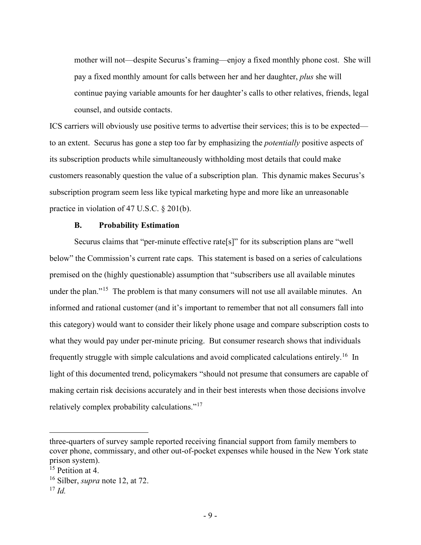mother will not—despite Securus's framing—enjoy a fixed monthly phone cost. She will pay a fixed monthly amount for calls between her and her daughter, *plus* she will continue paying variable amounts for her daughter's calls to other relatives, friends, legal counsel, and outside contacts.

ICS carriers will obviously use positive terms to advertise their services; this is to be expected to an extent. Securus has gone a step too far by emphasizing the *potentially* positive aspects of its subscription products while simultaneously withholding most details that could make customers reasonably question the value of a subscription plan. This dynamic makes Securus's subscription program seem less like typical marketing hype and more like an unreasonable practice in violation of 47 U.S.C. § 201(b).

#### **B. Probability Estimation**

<span id="page-9-0"></span>Securus claims that "per-minute effective rate[s]" for its subscription plans are "well below" the Commission's current rate caps. This statement is based on a series of calculations premised on the (highly questionable) assumption that "subscribers use all available minutes under the plan."<sup>15</sup> The problem is that many consumers will not use all available minutes. An informed and rational customer (and it's important to remember that not all consumers fall into this category) would want to consider their likely phone usage and compare subscription costs to what they would pay under per-minute pricing. But consumer research shows that individuals frequently struggle with simple calculations and avoid complicated calculations entirely.<sup>16</sup> In light of this documented trend, policymakers "should not presume that consumers are capable of making certain risk decisions accurately and in their best interests when those decisions involve relatively complex probability calculations."[17](#page-9-3)

three-quarters of survey sample reported receiving financial support from family members to cover phone, commissary, and other out-of-pocket expenses while housed in the New York state prison system).

<span id="page-9-1"></span><sup>&</sup>lt;sup>15</sup> Petition at 4.

<span id="page-9-2"></span><sup>16</sup> Silber, *supra* note [12,](#page-6-5) at 72.

<span id="page-9-3"></span> $17$  *Id.*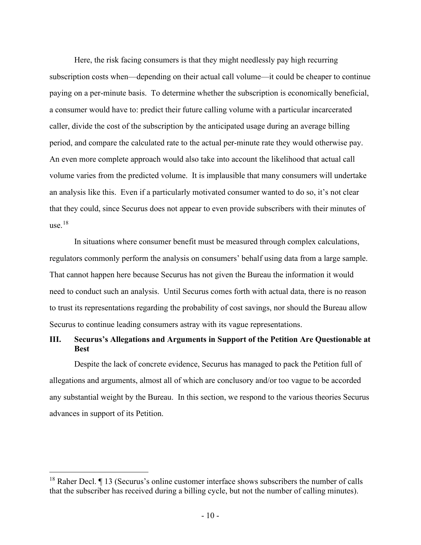Here, the risk facing consumers is that they might needlessly pay high recurring subscription costs when—depending on their actual call volume—it could be cheaper to continue paying on a per-minute basis. To determine whether the subscription is economically beneficial, a consumer would have to: predict their future calling volume with a particular incarcerated caller, divide the cost of the subscription by the anticipated usage during an average billing period, and compare the calculated rate to the actual per-minute rate they would otherwise pay. An even more complete approach would also take into account the likelihood that actual call volume varies from the predicted volume. It is implausible that many consumers will undertake an analysis like this. Even if a particularly motivated consumer wanted to do so, it's not clear that they could, since Securus does not appear to even provide subscribers with their minutes of use. [18](#page-10-1)

In situations where consumer benefit must be measured through complex calculations, regulators commonly perform the analysis on consumers' behalf using data from a large sample. That cannot happen here because Securus has not given the Bureau the information it would need to conduct such an analysis. Until Securus comes forth with actual data, there is no reason to trust its representations regarding the probability of cost savings, nor should the Bureau allow Securus to continue leading consumers astray with its vague representations.

## <span id="page-10-0"></span>**III. Securus's Allegations and Arguments in Support of the Petition Are Questionable at Best**

Despite the lack of concrete evidence, Securus has managed to pack the Petition full of allegations and arguments, almost all of which are conclusory and/or too vague to be accorded any substantial weight by the Bureau. In this section, we respond to the various theories Securus advances in support of its Petition.

<span id="page-10-1"></span> $18$  Raher Decl.  $\P$  13 (Securus's online customer interface shows subscribers the number of calls that the subscriber has received during a billing cycle, but not the number of calling minutes).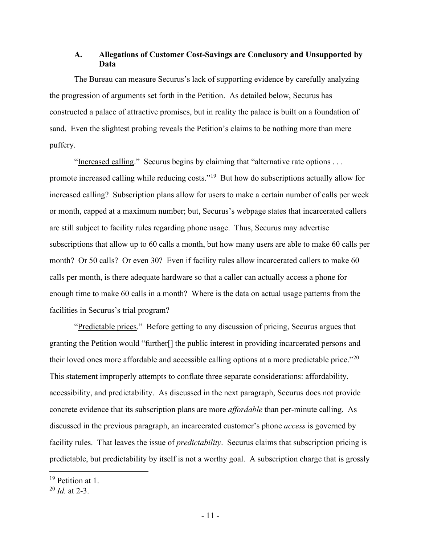## <span id="page-11-0"></span>**A. Allegations of Customer Cost-Savings are Conclusory and Unsupported by Data**

The Bureau can measure Securus's lack of supporting evidence by carefully analyzing the progression of arguments set forth in the Petition. As detailed below, Securus has constructed a palace of attractive promises, but in reality the palace is built on a foundation of sand. Even the slightest probing reveals the Petition's claims to be nothing more than mere puffery.

"Increased calling." Securus begins by claiming that "alternative rate options . . . promote increased calling while reducing costs."[19](#page-11-1) But how do subscriptions actually allow for increased calling? Subscription plans allow for users to make a certain number of calls per week or month, capped at a maximum number; but, Securus's webpage states that incarcerated callers are still subject to facility rules regarding phone usage. Thus, Securus may advertise subscriptions that allow up to 60 calls a month, but how many users are able to make 60 calls per month? Or 50 calls? Or even 30? Even if facility rules allow incarcerated callers to make 60 calls per month, is there adequate hardware so that a caller can actually access a phone for enough time to make 60 calls in a month? Where is the data on actual usage patterns from the facilities in Securus's trial program?

"Predictable prices." Before getting to any discussion of pricing, Securus argues that granting the Petition would "further[] the public interest in providing incarcerated persons and their loved ones more affordable and accessible calling options at a more predictable price."<sup>[20](#page-11-2)</sup> This statement improperly attempts to conflate three separate considerations: affordability, accessibility, and predictability. As discussed in the next paragraph, Securus does not provide concrete evidence that its subscription plans are more *affordable* than per-minute calling. As discussed in the previous paragraph, an incarcerated customer's phone *access* is governed by facility rules. That leaves the issue of *predictability*. Securus claims that subscription pricing is predictable, but predictability by itself is not a worthy goal. A subscription charge that is grossly

<span id="page-11-1"></span><sup>&</sup>lt;sup>19</sup> Petition at 1.

<span id="page-11-2"></span><sup>20</sup> *Id.* at 2-3.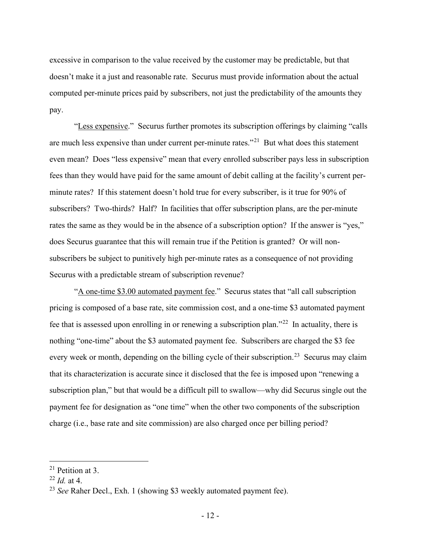excessive in comparison to the value received by the customer may be predictable, but that doesn't make it a just and reasonable rate. Securus must provide information about the actual computed per-minute prices paid by subscribers, not just the predictability of the amounts they pay.

"Less expensive." Securus further promotes its subscription offerings by claiming "calls" are much less expensive than under current per-minute rates."<sup>21</sup> But what does this statement even mean? Does "less expensive" mean that every enrolled subscriber pays less in subscription fees than they would have paid for the same amount of debit calling at the facility's current perminute rates? If this statement doesn't hold true for every subscriber, is it true for 90% of subscribers? Two-thirds? Half? In facilities that offer subscription plans, are the per-minute rates the same as they would be in the absence of a subscription option? If the answer is "yes," does Securus guarantee that this will remain true if the Petition is granted? Or will nonsubscribers be subject to punitively high per-minute rates as a consequence of not providing Securus with a predictable stream of subscription revenue?

"A one-time \$3.00 automated payment fee." Securus states that "all call subscription pricing is composed of a base rate, site commission cost, and a one-time \$3 automated payment fee that is assessed upon enrolling in or renewing a subscription plan."<sup>[22](#page-12-1)</sup> In actuality, there is nothing "one-time" about the \$3 automated payment fee. Subscribers are charged the \$3 fee every week or month, depending on the billing cycle of their subscription.<sup>[23](#page-12-2)</sup> Securus may claim that its characterization is accurate since it disclosed that the fee is imposed upon "renewing a subscription plan," but that would be a difficult pill to swallow—why did Securus single out the payment fee for designation as "one time" when the other two components of the subscription charge (i.e., base rate and site commission) are also charged once per billing period?

<span id="page-12-0"></span><sup>21</sup> Petition at 3.

<span id="page-12-1"></span><sup>22</sup> *Id.* at 4.

<span id="page-12-2"></span><sup>&</sup>lt;sup>23</sup> *See* Raher Decl., Exh. 1 (showing \$3 weekly automated payment fee).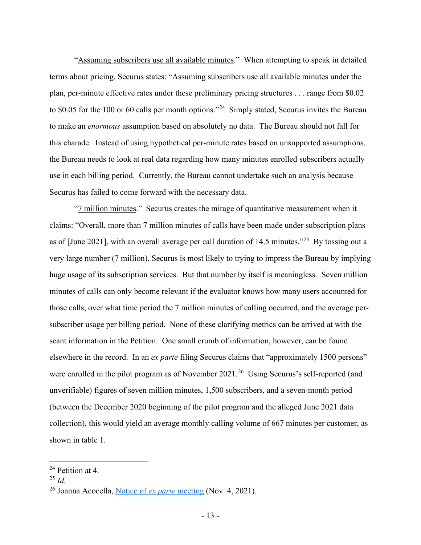"Assuming subscribers use all available minutes." When attempting to speak in detailed terms about pricing, Securus states: "Assuming subscribers use all available minutes under the plan, per-minute effective rates under these preliminary pricing structures . . . range from \$0.02 to \$0.05 for the 100 or 60 calls per month options."<sup>[24](#page-13-0)</sup> Simply stated, Securus invites the Bureau to make an *enormous* assumption based on absolutely no data. The Bureau should not fall for this charade. Instead of using hypothetical per-minute rates based on unsupported assumptions, the Bureau needs to look at real data regarding how many minutes enrolled subscribers actually use in each billing period. Currently, the Bureau cannot undertake such an analysis because Securus has failed to come forward with the necessary data.

"7 million minutes." Securus creates the mirage of quantitative measurement when it claims: "Overall, more than 7 million minutes of calls have been made under subscription plans as of [June 2021], with an overall average per call duration of 14.5 minutes."[25](#page-13-1) By tossing out a very large number (7 million), Securus is most likely to trying to impress the Bureau by implying huge usage of its subscription services. But that number by itself is meaningless. Seven million minutes of calls can only become relevant if the evaluator knows how many users accounted for those calls, over what time period the 7 million minutes of calling occurred, and the average persubscriber usage per billing period. None of these clarifying metrics can be arrived at with the scant information in the Petition. One small crumb of information, however, can be found elsewhere in the record. In an *ex parte* filing Securus claims that "approximately 1500 persons" were enrolled in the pilot program as of November 2021.<sup>26</sup> Using Securus's self-reported (and unverifiable) figures of seven million minutes, 1,500 subscribers, and a seven-month period (between the December 2020 beginning of the pilot program and the alleged June 2021 data collection), this would yield an average monthly calling volume of 667 minutes per customer, as shown in table 1.

<span id="page-13-0"></span><sup>24</sup> Petition at 4.

<span id="page-13-1"></span><sup>25</sup> *Id.*

<span id="page-13-2"></span><sup>26</sup> Joanna Acocella, [Notice of](https://ecfsapi.fcc.gov/file/110423483836/FCC%20Ex%20Parte%2011_4_2021.PDF) *ex parte* meeting (Nov. 4, 2021).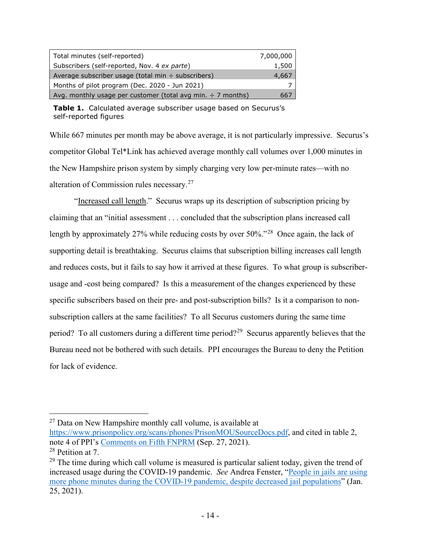| Total minutes (self-reported)                                    | 7,000,000 |
|------------------------------------------------------------------|-----------|
| Subscribers (self-reported, Nov. 4 ex parte)                     | 1,500     |
| Average subscriber usage (total min ÷ subscribers)               | 4,667     |
| Months of pilot program (Dec. 2020 - Jun 2021)                   |           |
| Avg. monthly usage per customer (total avg min. $\div$ 7 months) | hh/       |

**Table 1.** Calculated average subscriber usage based on Securus's self-reported figures

While 667 minutes per month may be above average, it is not particularly impressive. Securus's competitor Global Tel\*Link has achieved average monthly call volumes over 1,000 minutes in the New Hampshire prison system by simply charging very low per-minute rates—with no alteration of Commission rules necessary.[27](#page-14-0)

"Increased call length." Securus wraps up its description of subscription pricing by claiming that an "initial assessment . . . concluded that the subscription plans increased call length by approximately 27% while reducing costs by over 50%."<sup>[28](#page-14-1)</sup> Once again, the lack of supporting detail is breathtaking. Securus claims that subscription billing increases call length and reduces costs, but it fails to say how it arrived at these figures. To what group is subscriberusage and -cost being compared? Is this a measurement of the changes experienced by these specific subscribers based on their pre- and post-subscription bills? Is it a comparison to nonsubscription callers at the same facilities? To all Securus customers during the same time period? To all customers during a different time period?[29](#page-14-2) Securus apparently believes that the Bureau need not be bothered with such details. PPI encourages the Bureau to deny the Petition for lack of evidence.

[https://www.prisonpolicy.org/scans/phones/PrisonMOUSourceDocs.pdf,](https://www.prisonpolicy.org/scans/phones/PrisonMOUSourceDocs.pdf) and cited in table 2, note 4 of PPI's [Comments on Fifth FNPRM](https://ecfsapi.fcc.gov/file/10927169148487/2021-09-27%20-%20PPI%20Comments%20on%205th%20FNPRM.pdf) (Sep. 27, 2021).

<span id="page-14-0"></span> $27$  Data on New Hampshire monthly call volume, is available at

<span id="page-14-1"></span><sup>28</sup> Petition at 7.

<span id="page-14-2"></span> $29$  The time during which call volume is measured is particular salient today, given the trend of increased usage during the COVID-19 pandemic. *See* Andrea Fenster, ["People in jails are using](https://www.prisonpolicy.org/blog/2021/01/25/covid_call_volumes/)  [more phone minutes during the COVID-19 pandemic, despite decreased jail populations"](https://www.prisonpolicy.org/blog/2021/01/25/covid_call_volumes/) (Jan. 25, 2021).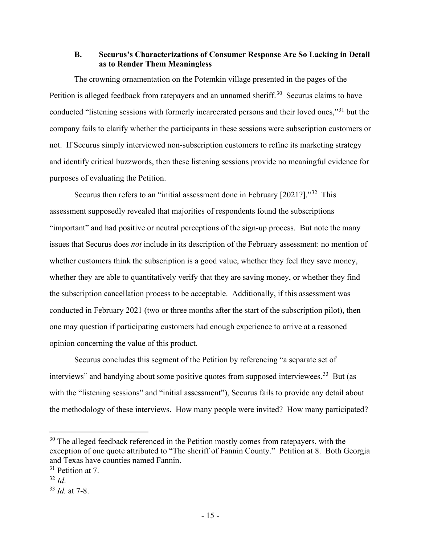### <span id="page-15-0"></span>**B. Securus's Characterizations of Consumer Response Are So Lacking in Detail as to Render Them Meaningless**

The crowning ornamentation on the Potemkin village presented in the pages of the Petition is alleged feedback from ratepayers and an unnamed sheriff.<sup>30</sup> Securus claims to have conducted "listening sessions with formerly incarcerated persons and their loved ones,"[31](#page-15-2) but the company fails to clarify whether the participants in these sessions were subscription customers or not. If Securus simply interviewed non-subscription customers to refine its marketing strategy and identify critical buzzwords, then these listening sessions provide no meaningful evidence for purposes of evaluating the Petition.

Securus then refers to an "initial assessment done in February [2021?]."<sup>32</sup> This assessment supposedly revealed that majorities of respondents found the subscriptions "important" and had positive or neutral perceptions of the sign-up process. But note the many issues that Securus does *not* include in its description of the February assessment: no mention of whether customers think the subscription is a good value, whether they feel they save money, whether they are able to quantitatively verify that they are saving money, or whether they find the subscription cancellation process to be acceptable. Additionally, if this assessment was conducted in February 2021 (two or three months after the start of the subscription pilot), then one may question if participating customers had enough experience to arrive at a reasoned opinion concerning the value of this product.

Securus concludes this segment of the Petition by referencing "a separate set of interviews" and bandying about some positive quotes from supposed interviewees.<sup>33</sup> But (as with the "listening sessions" and "initial assessment"), Securus fails to provide any detail about the methodology of these interviews. How many people were invited? How many participated?

<span id="page-15-1"></span><sup>&</sup>lt;sup>30</sup> The alleged feedback referenced in the Petition mostly comes from ratepayers, with the exception of one quote attributed to "The sheriff of Fannin County." Petition at 8. Both Georgia and Texas have counties named Fannin.

<span id="page-15-2"></span><sup>&</sup>lt;sup>31</sup> Petition at 7.

<span id="page-15-3"></span><sup>32</sup> *Id*.

<span id="page-15-4"></span><sup>33</sup> *Id.* at 7-8.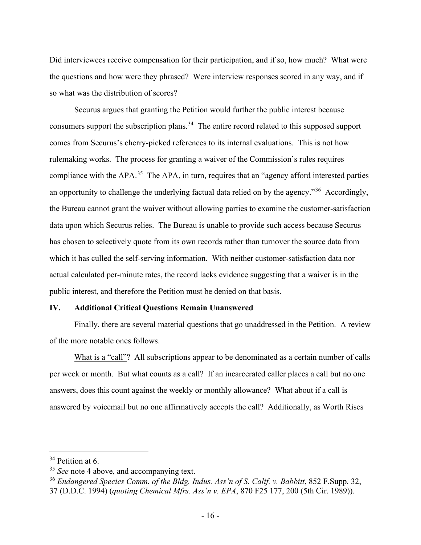Did interviewees receive compensation for their participation, and if so, how much? What were the questions and how were they phrased? Were interview responses scored in any way, and if so what was the distribution of scores?

Securus argues that granting the Petition would further the public interest because consumers support the subscription plans.<sup>34</sup> The entire record related to this supposed support comes from Securus's cherry-picked references to its internal evaluations. This is not how rulemaking works. The process for granting a waiver of the Commission's rules requires compliance with the APA.<sup>35</sup> The APA, in turn, requires that an "agency afford interested parties" an opportunity to challenge the underlying factual data relied on by the agency."[36](#page-16-3) Accordingly, the Bureau cannot grant the waiver without allowing parties to examine the customer-satisfaction data upon which Securus relies. The Bureau is unable to provide such access because Securus has chosen to selectively quote from its own records rather than turnover the source data from which it has culled the self-serving information. With neither customer-satisfaction data nor actual calculated per-minute rates, the record lacks evidence suggesting that a waiver is in the public interest, and therefore the Petition must be denied on that basis.

### <span id="page-16-0"></span>**IV. Additional Critical Questions Remain Unanswered**

Finally, there are several material questions that go unaddressed in the Petition. A review of the more notable ones follows.

What is a "call"? All subscriptions appear to be denominated as a certain number of calls per week or month. But what counts as a call? If an incarcerated caller places a call but no one answers, does this count against the weekly or monthly allowance? What about if a call is answered by voicemail but no one affirmatively accepts the call? Additionally, as Worth Rises

<span id="page-16-1"></span><sup>&</sup>lt;sup>34</sup> Petition at 6.

<span id="page-16-2"></span><sup>&</sup>lt;sup>35</sup> *See* note [4](#page-4-4) above, and accompanying text.

<span id="page-16-3"></span><sup>36</sup> *Endangered Species Comm. of the Bldg. Indus. Ass'n of S. Calif. v. Babbitt*, 852 F.Supp. 32, 37 (D.D.C. 1994) (*quoting Chemical Mfrs. Ass'n v. EPA*, 870 F25 177, 200 (5th Cir. 1989)).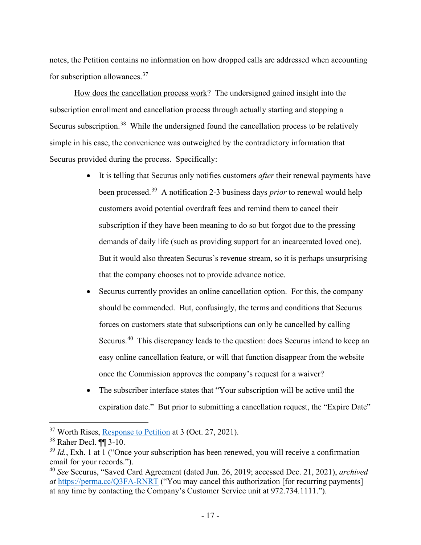notes, the Petition contains no information on how dropped calls are addressed when accounting for subscription allowances.[37](#page-17-0)

How does the cancellation process work? The undersigned gained insight into the subscription enrollment and cancellation process through actually starting and stopping a Securus subscription.<sup>[38](#page-17-1)</sup> While the undersigned found the cancellation process to be relatively simple in his case, the convenience was outweighed by the contradictory information that Securus provided during the process. Specifically:

- It is telling that Securus only notifies customers *after* their renewal payments have been processed.[39](#page-17-2) A notification 2-3 business days *prior* to renewal would help customers avoid potential overdraft fees and remind them to cancel their subscription if they have been meaning to do so but forgot due to the pressing demands of daily life (such as providing support for an incarcerated loved one). But it would also threaten Securus's revenue stream, so it is perhaps unsurprising that the company chooses not to provide advance notice.
- Securus currently provides an online cancellation option. For this, the company should be commended. But, confusingly, the terms and conditions that Securus forces on customers state that subscriptions can only be cancelled by calling Securus.[40](#page-17-3) This discrepancy leads to the question: does Securus intend to keep an easy online cancellation feature, or will that function disappear from the website once the Commission approves the company's request for a waiver?
- The subscriber interface states that "Your subscription will be active until the expiration date." But prior to submitting a cancellation request, the "Expire Date"

<span id="page-17-0"></span><sup>37</sup> Worth Rises, [Response to Petition](https://ecfsapi.fcc.gov/file/102782794402/2021.10.27%20-%20FCC%20comment_%20Corrected%20Response%20to%20Securus%20Subscription%20Waiver.pdf) at 3 (Oct. 27, 2021).

<span id="page-17-1"></span><sup>38</sup> Raher Decl. ¶¶ 3-10.

<span id="page-17-2"></span><sup>&</sup>lt;sup>39</sup> *Id.*, Exh. 1 at 1 ("Once your subscription has been renewed, you will receive a confirmation email for your records.").

<span id="page-17-3"></span><sup>40</sup> *See* Securus, "Saved Card Agreement (dated Jun. 26, 2019; accessed Dec. 21, 2021), *archived at* <https://perma.cc/Q3FA-RNRT> ("You may cancel this authorization [for recurring payments] at any time by contacting the Company's Customer Service unit at 972.734.1111.").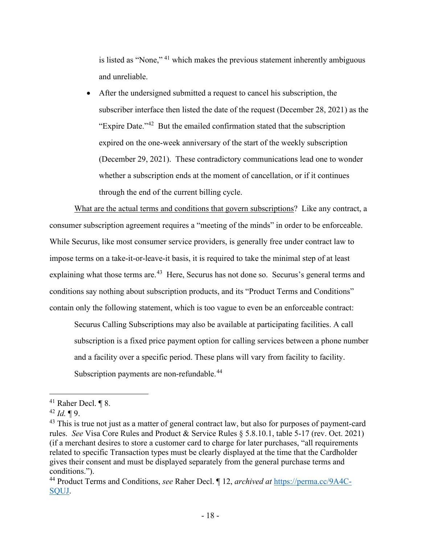is listed as "None," [41](#page-18-0) which makes the previous statement inherently ambiguous and unreliable.

• After the undersigned submitted a request to cancel his subscription, the subscriber interface then listed the date of the request (December 28, 2021) as the "Expire Date."[42](#page-18-1) But the emailed confirmation stated that the subscription expired on the one-week anniversary of the start of the weekly subscription (December 29, 2021). These contradictory communications lead one to wonder whether a subscription ends at the moment of cancellation, or if it continues through the end of the current billing cycle.

What are the actual terms and conditions that govern subscriptions? Like any contract, a consumer subscription agreement requires a "meeting of the minds" in order to be enforceable. While Securus, like most consumer service providers, is generally free under contract law to impose terms on a take-it-or-leave-it basis, it is required to take the minimal step of at least explaining what those terms are.<sup>[43](#page-18-2)</sup> Here, Securus has not done so. Securus's general terms and conditions say nothing about subscription products, and its "Product Terms and Conditions" contain only the following statement, which is too vague to even be an enforceable contract:

Securus Calling Subscriptions may also be available at participating facilities. A call subscription is a fixed price payment option for calling services between a phone number and a facility over a specific period. These plans will vary from facility to facility. Subscription payments are non-refundable.<sup>[44](#page-18-3)</sup>

<span id="page-18-0"></span><sup>41</sup> Raher Decl. ¶ 8.

<span id="page-18-1"></span> $42$  *Id.* 19.

<span id="page-18-2"></span><sup>&</sup>lt;sup>43</sup> This is true not just as a matter of general contract law, but also for purposes of payment-card rules. *See* Visa Core Rules and Product & Service Rules § 5.8.10.1, table 5-17 (rev. Oct. 2021) (if a merchant desires to store a customer card to charge for later purchases, "all requirements related to specific Transaction types must be clearly displayed at the time that the Cardholder gives their consent and must be displayed separately from the general purchase terms and conditions.").

<span id="page-18-3"></span><sup>44</sup> Product Terms and Conditions, *see* Raher Decl. ¶ 12, *archived at* [https://perma.cc/9A4C-](https://perma.cc/9A4C-SQUJ)[SQUJ.](https://perma.cc/9A4C-SQUJ)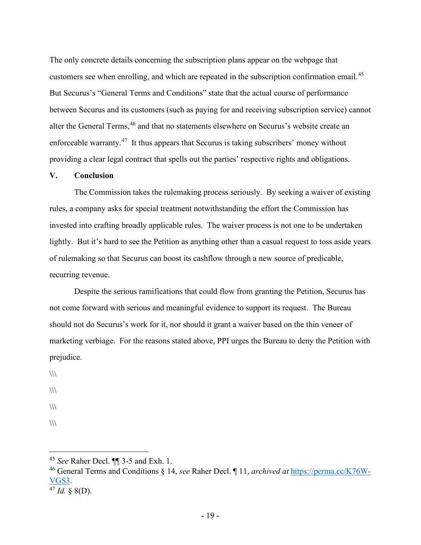The only concrete details concerning the subscription plans appear on the webpage that customers see when enrolling, and which are repeated in the subscription confirmation email.<sup>[45](#page-19-1)</sup> But Securus's "General Terms and Conditions" state that the actual course of performance between Securus and its customers (such as paying for and receiving subscription service) cannot alter the General Terms, <sup>[46](#page-19-2)</sup> and that no statements elsewhere on Securus's website create an enforceable warranty.<sup>[47](#page-19-3)</sup> It thus appears that Securus is taking subscribers' money without providing a clear legal contract that spells out the parties' respective rights and obligations.

#### <span id="page-19-0"></span>**V. Conclusion**

The Commission takes the rulemaking process seriously. By seeking a waiver of existing rules, a company asks for special treatment notwithstanding the effort the Commission has invested into crafting broadly applicable rules. The waiver process is not one to be undertaken lightly. But it's hard to see the Petition as anything other than a casual request to toss aside years of rulemaking so that Securus can boost its cashflow through a new source of predicable, recurring revenue.

Despite the serious ramifications that could flow from granting the Petition, Securus has not come forward with serious and meaningful evidence to support its request. The Bureau should not do Securus's work for it, nor should it grant a waiver based on the thin veneer of marketing verbiage. For the reasons stated above, PPI urges the Bureau to deny the Petition with prejudice.

- $\langle\langle\langle\rangle\rangle\rangle$
- $\sqrt{2}$
- $\langle\langle\langle\rangle\rangle\rangle$
- $\frac{1}{2}$

<span id="page-19-1"></span><sup>45</sup> *See* Raher Decl. ¶¶ 3-5 and Exh. 1.

<span id="page-19-2"></span><sup>46</sup> General Terms and Conditions § 14, *see* Raher Decl. ¶ 11, *archived at* [https://perma.cc/K76W-](https://perma.cc/K76W-VGS3) $\frac{VGS3}{^{47}$  *Id.* § 8(D).

<span id="page-19-3"></span>